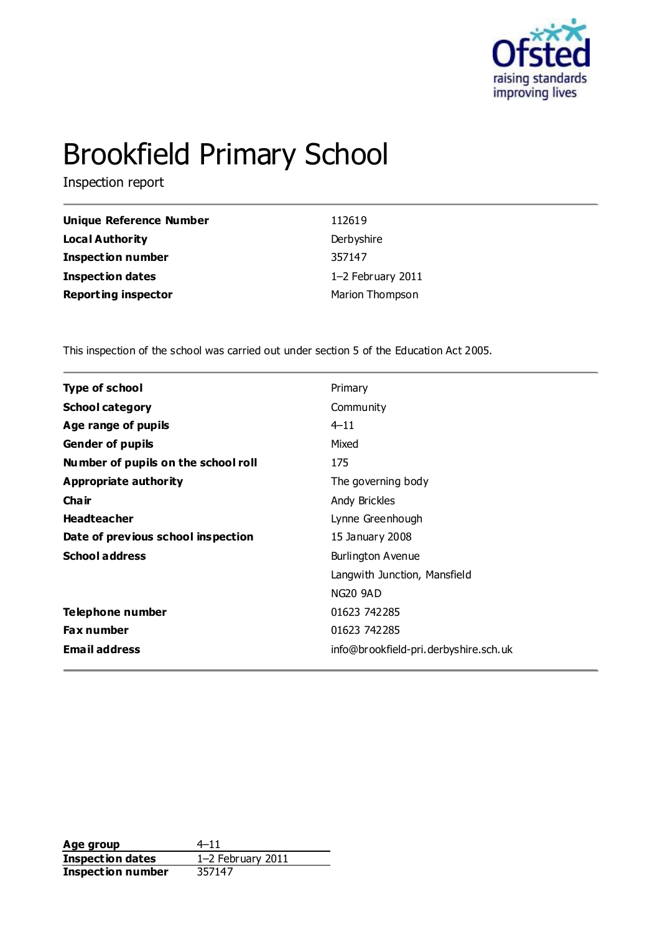

# Brookfield Primary School

Inspection report

| Unique Reference Number    | 112619            |
|----------------------------|-------------------|
| <b>Local Authority</b>     | Derbyshire        |
| <b>Inspection number</b>   | 357147            |
| <b>Inspection dates</b>    | 1-2 February 2011 |
| <b>Reporting inspector</b> | Marion Thompson   |

This inspection of the school was carried out under section 5 of the Education Act 2005.

| <b>Type of school</b><br>Primary<br><b>School category</b><br>Community<br>$4 - 11$<br>Age range of pupils<br>Mixed<br><b>Gender of pupils</b><br>Number of pupils on the school roll<br>175<br><b>Appropriate authority</b><br>The governing body<br>Cha ir<br>Andy Brickles<br><b>Headteacher</b><br>Lynne Greenhough<br>Date of previous school inspection<br>15 January 2008<br><b>School address</b><br>Burlington Avenue<br>Langwith Junction, Mansfield<br><b>NG20 9AD</b><br>Telephone number<br>01623 742285<br>Fax number<br>01623 742285<br><b>Email address</b><br>info@brookfield-pri.derbyshire.sch.uk |  |
|----------------------------------------------------------------------------------------------------------------------------------------------------------------------------------------------------------------------------------------------------------------------------------------------------------------------------------------------------------------------------------------------------------------------------------------------------------------------------------------------------------------------------------------------------------------------------------------------------------------------|--|
|                                                                                                                                                                                                                                                                                                                                                                                                                                                                                                                                                                                                                      |  |
|                                                                                                                                                                                                                                                                                                                                                                                                                                                                                                                                                                                                                      |  |
|                                                                                                                                                                                                                                                                                                                                                                                                                                                                                                                                                                                                                      |  |
|                                                                                                                                                                                                                                                                                                                                                                                                                                                                                                                                                                                                                      |  |
|                                                                                                                                                                                                                                                                                                                                                                                                                                                                                                                                                                                                                      |  |
|                                                                                                                                                                                                                                                                                                                                                                                                                                                                                                                                                                                                                      |  |
|                                                                                                                                                                                                                                                                                                                                                                                                                                                                                                                                                                                                                      |  |
|                                                                                                                                                                                                                                                                                                                                                                                                                                                                                                                                                                                                                      |  |
|                                                                                                                                                                                                                                                                                                                                                                                                                                                                                                                                                                                                                      |  |
|                                                                                                                                                                                                                                                                                                                                                                                                                                                                                                                                                                                                                      |  |
|                                                                                                                                                                                                                                                                                                                                                                                                                                                                                                                                                                                                                      |  |
|                                                                                                                                                                                                                                                                                                                                                                                                                                                                                                                                                                                                                      |  |
|                                                                                                                                                                                                                                                                                                                                                                                                                                                                                                                                                                                                                      |  |
|                                                                                                                                                                                                                                                                                                                                                                                                                                                                                                                                                                                                                      |  |
|                                                                                                                                                                                                                                                                                                                                                                                                                                                                                                                                                                                                                      |  |

**Age group**  $4-11$ <br> **Inspection dates**  $1-2$  February 2011 **Inspection dates** 1–2 Feb<br>**Inspection number** 357147 **Inspection number**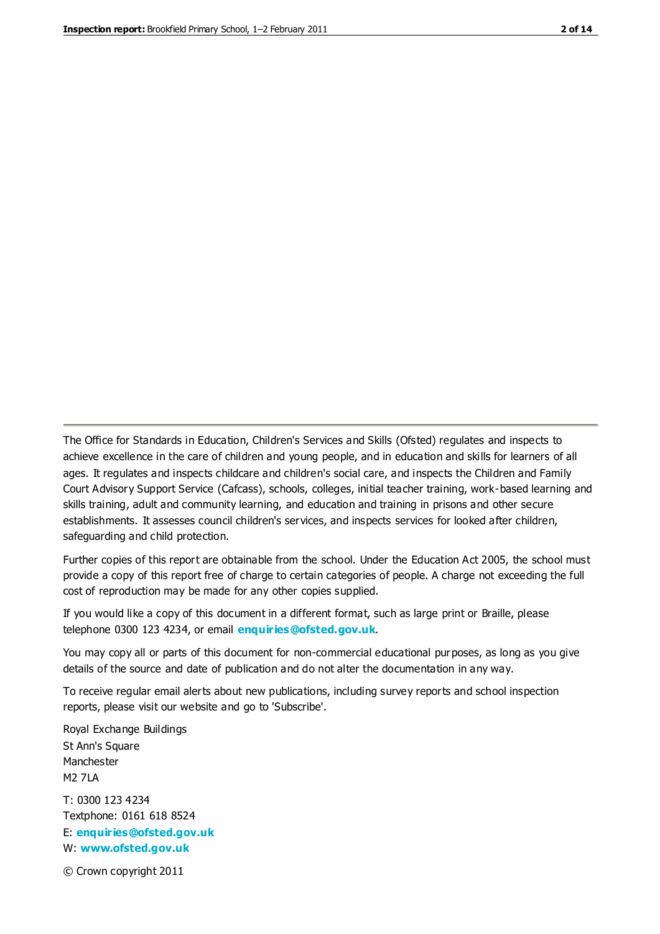The Office for Standards in Education, Children's Services and Skills (Ofsted) regulates and inspects to achieve excellence in the care of children and young people, and in education and skills for learners of all ages. It regulates and inspects childcare and children's social care, and inspects the Children and Family Court Advisory Support Service (Cafcass), schools, colleges, initial teacher training, work-based learning and skills training, adult and community learning, and education and training in prisons and other secure establishments. It assesses council children's services, and inspects services for looked after children, safeguarding and child protection.

Further copies of this report are obtainable from the school. Under the Education Act 2005, the school must provide a copy of this report free of charge to certain categories of people. A charge not exceeding the full cost of reproduction may be made for any other copies supplied.

If you would like a copy of this document in a different format, such as large print or Braille, please telephone 0300 123 4234, or email **[enquiries@ofsted.gov.uk](mailto:enquiries@ofsted.gov.uk)**.

You may copy all or parts of this document for non-commercial educational purposes, as long as you give details of the source and date of publication and do not alter the documentation in any way.

To receive regular email alerts about new publications, including survey reports and school inspection reports, please visit our website and go to 'Subscribe'.

Royal Exchange Buildings St Ann's Square Manchester M2 7LA T: 0300 123 4234 Textphone: 0161 618 8524 E: **[enquiries@ofsted.gov.uk](mailto:enquiries@ofsted.gov.uk)**

W: **[www.ofsted.gov.uk](http://www.ofsted.gov.uk/)**

© Crown copyright 2011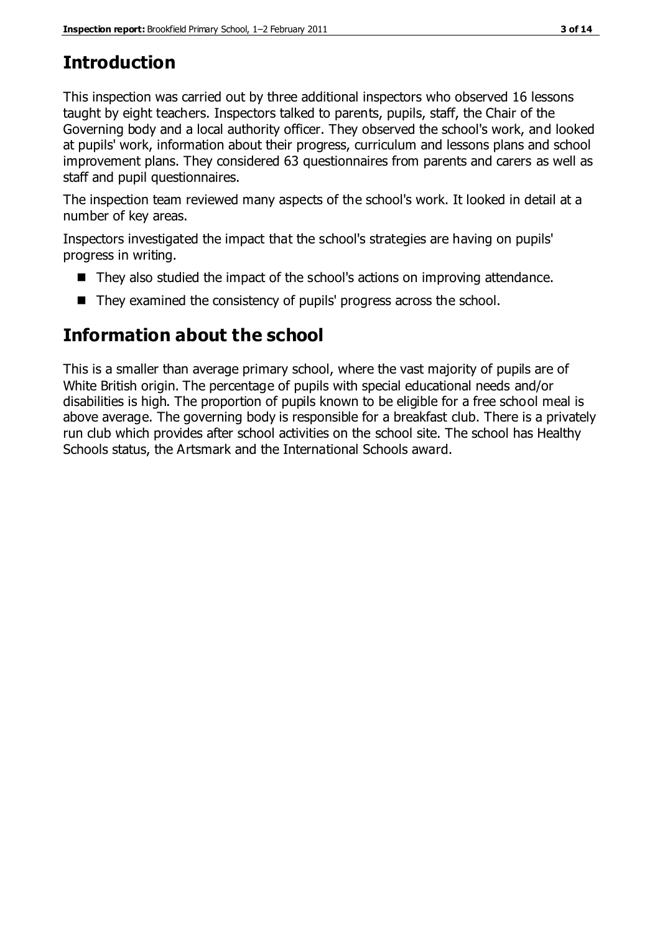# **Introduction**

This inspection was carried out by three additional inspectors who observed 16 lessons taught by eight teachers. Inspectors talked to parents, pupils, staff, the Chair of the Governing body and a local authority officer. They observed the school's work, and looked at pupils' work, information about their progress, curriculum and lessons plans and school improvement plans. They considered 63 questionnaires from parents and carers as well as staff and pupil questionnaires.

The inspection team reviewed many aspects of the school's work. It looked in detail at a number of key areas.

Inspectors investigated the impact that the school's strategies are having on pupils' progress in writing.

- They also studied the impact of the school's actions on improving attendance.
- They examined the consistency of pupils' progress across the school.

# **Information about the school**

This is a smaller than average primary school, where the vast majority of pupils are of White British origin. The percentage of pupils with special educational needs and/or disabilities is high. The proportion of pupils known to be eligible for a free school meal is above average. The governing body is responsible for a breakfast club. There is a privately run club which provides after school activities on the school site. The school has Healthy Schools status, the Artsmark and the International Schools award.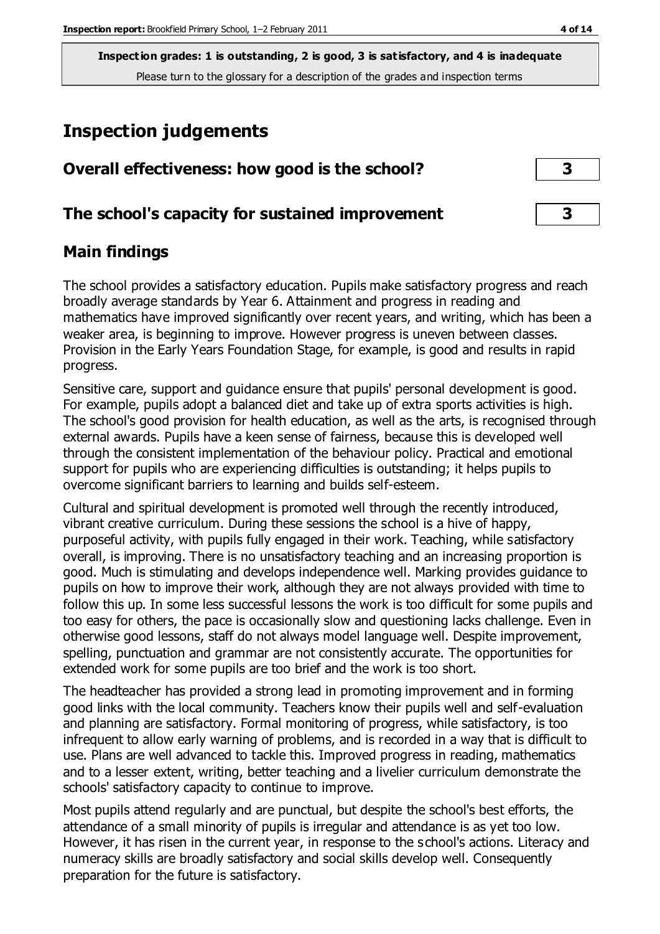# **Inspection judgements**

| Overall effectiveness: how good is the school?  |  |
|-------------------------------------------------|--|
| The school's capacity for sustained improvement |  |

# **Main findings**

The school provides a satisfactory education. Pupils make satisfactory progress and reach broadly average standards by Year 6. Attainment and progress in reading and mathematics have improved significantly over recent years, and writing, which has been a weaker area, is beginning to improve. However progress is uneven between classes. Provision in the Early Years Foundation Stage, for example, is good and results in rapid progress.

Sensitive care, support and guidance ensure that pupils' personal development is good. For example, pupils adopt a balanced diet and take up of extra sports activities is high. The school's good provision for health education, as well as the arts, is recognised through external awards. Pupils have a keen sense of fairness, because this is developed well through the consistent implementation of the behaviour policy. Practical and emotional support for pupils who are experiencing difficulties is outstanding; it helps pupils to overcome significant barriers to learning and builds self-esteem.

Cultural and spiritual development is promoted well through the recently introduced, vibrant creative curriculum. During these sessions the school is a hive of happy, purposeful activity, with pupils fully engaged in their work. Teaching, while satisfactory overall, is improving. There is no unsatisfactory teaching and an increasing proportion is good. Much is stimulating and develops independence well. Marking provides guidance to pupils on how to improve their work, although they are not always provided with time to follow this up. In some less successful lessons the work is too difficult for some pupils and too easy for others, the pace is occasionally slow and questioning lacks challenge. Even in otherwise good lessons, staff do not always model language well. Despite improvement, spelling, punctuation and grammar are not consistently accurate. The opportunities for extended work for some pupils are too brief and the work is too short.

The headteacher has provided a strong lead in promoting improvement and in forming good links with the local community. Teachers know their pupils well and self-evaluation and planning are satisfactory. Formal monitoring of progress, while satisfactory, is too infrequent to allow early warning of problems, and is recorded in a way that is difficult to use. Plans are well advanced to tackle this. Improved progress in reading, mathematics and to a lesser extent, writing, better teaching and a livelier curriculum demonstrate the schools' satisfactory capacity to continue to improve.

Most pupils attend regularly and are punctual, but despite the school's best efforts, the attendance of a small minority of pupils is irregular and attendance is as yet too low. However, it has risen in the current year, in response to the s chool's actions. Literacy and numeracy skills are broadly satisfactory and social skills develop well. Consequently preparation for the future is satisfactory.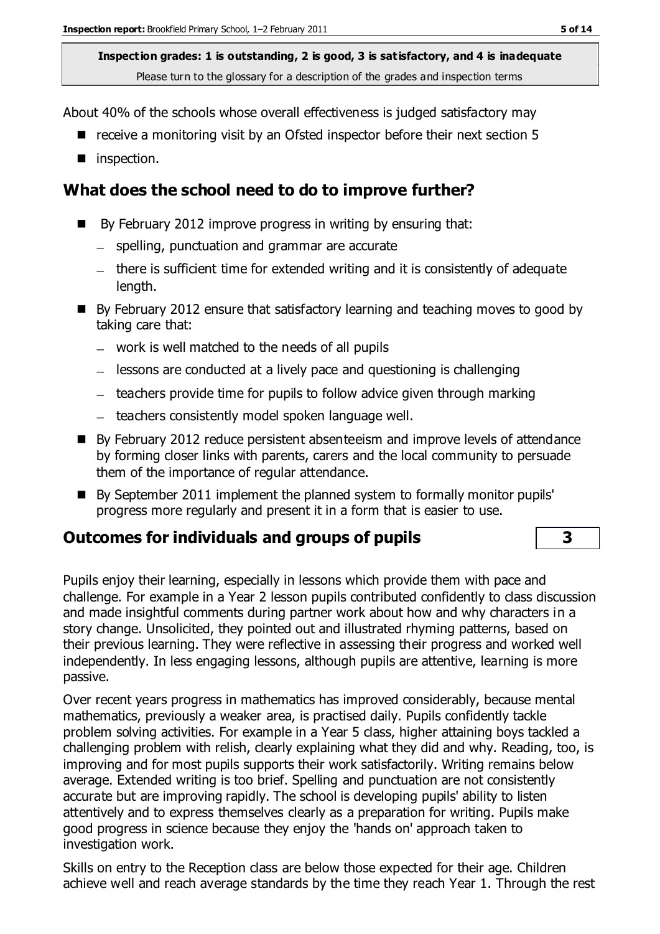About 40% of the schools whose overall effectiveness is judged satisfactory may

- receive a monitoring visit by an Ofsted inspector before their next section 5
- inspection.

## **What does the school need to do to improve further?**

- By February 2012 improve progress in writing by ensuring that:
	- spelling, punctuation and grammar are accurate
	- there is sufficient time for extended writing and it is consistently of adequate length.
- By February 2012 ensure that satisfactory learning and teaching moves to good by taking care that:
	- work is well matched to the needs of all pupils
	- $-$  lessons are conducted at a lively pace and questioning is challenging
	- $-$  teachers provide time for pupils to follow advice given through marking
	- teachers consistently model spoken language well.
- By February 2012 reduce persistent absenteeism and improve levels of attendance by forming closer links with parents, carers and the local community to persuade them of the importance of regular attendance.
- By September 2011 implement the planned system to formally monitor pupils' progress more regularly and present it in a form that is easier to use.

# **Outcomes for individuals and groups of pupils 3**

Pupils enjoy their learning, especially in lessons which provide them with pace and challenge. For example in a Year 2 lesson pupils contributed confidently to class discussion and made insightful comments during partner work about how and why characters in a story change. Unsolicited, they pointed out and illustrated rhyming patterns, based on their previous learning. They were reflective in assessing their progress and worked well independently. In less engaging lessons, although pupils are attentive, learning is more passive.

Over recent years progress in mathematics has improved considerably, because mental mathematics, previously a weaker area, is practised daily. Pupils confidently tackle problem solving activities. For example in a Year 5 class, higher attaining boys tackled a challenging problem with relish, clearly explaining what they did and why. Reading, too, is improving and for most pupils supports their work satisfactorily. Writing remains below average. Extended writing is too brief. Spelling and punctuation are not consistently accurate but are improving rapidly. The school is developing pupils' ability to listen attentively and to express themselves clearly as a preparation for writing. Pupils make good progress in science because they enjoy the 'hands on' approach taken to investigation work.

Skills on entry to the Reception class are below those expected for their age. Children achieve well and reach average standards by the time they reach Year 1. Through the rest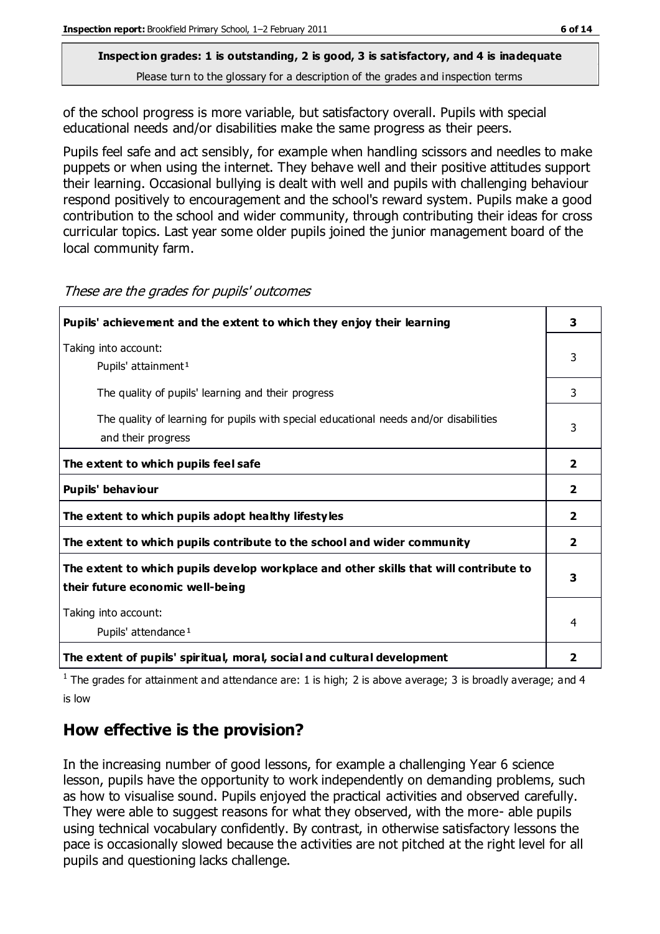# **Inspection grades: 1 is outstanding, 2 is good, 3 is satisfactory, and 4 is inadequate**

Please turn to the glossary for a description of the grades and inspection terms

of the school progress is more variable, but satisfactory overall. Pupils with special educational needs and/or disabilities make the same progress as their peers.

Pupils feel safe and act sensibly, for example when handling scissors and needles to make puppets or when using the internet. They behave well and their positive attitudes support their learning. Occasional bullying is dealt with well and pupils with challenging behaviour respond positively to encouragement and the school's reward system. Pupils make a good contribution to the school and wider community, through contributing their ideas for cross curricular topics. Last year some older pupils joined the junior management board of the local community farm.

| Pupils' achievement and the extent to which they enjoy their learning                                                     | 3              |
|---------------------------------------------------------------------------------------------------------------------------|----------------|
| Taking into account:<br>Pupils' attainment <sup>1</sup>                                                                   | 3              |
| The quality of pupils' learning and their progress                                                                        | 3              |
| The quality of learning for pupils with special educational needs and/or disabilities<br>and their progress               | 3              |
| The extent to which pupils feel safe                                                                                      | $\mathbf{2}$   |
| Pupils' behaviour                                                                                                         | $\overline{2}$ |
| The extent to which pupils adopt healthy lifestyles                                                                       | $\overline{2}$ |
| The extent to which pupils contribute to the school and wider community                                                   | 2              |
| The extent to which pupils develop workplace and other skills that will contribute to<br>their future economic well-being | 3              |
| Taking into account:<br>Pupils' attendance <sup>1</sup>                                                                   | 4              |
| The extent of pupils' spiritual, moral, social and cultural development                                                   | 2              |

#### These are the grades for pupils' outcomes

<sup>1</sup> The grades for attainment and attendance are: 1 is high; 2 is above average; 3 is broadly average; and 4 is low

# **How effective is the provision?**

In the increasing number of good lessons, for example a challenging Year 6 science lesson, pupils have the opportunity to work independently on demanding problems, such as how to visualise sound. Pupils enjoyed the practical activities and observed carefully. They were able to suggest reasons for what they observed, with the more- able pupils using technical vocabulary confidently. By contrast, in otherwise satisfactory lessons the pace is occasionally slowed because the activities are not pitched at the right level for all pupils and questioning lacks challenge.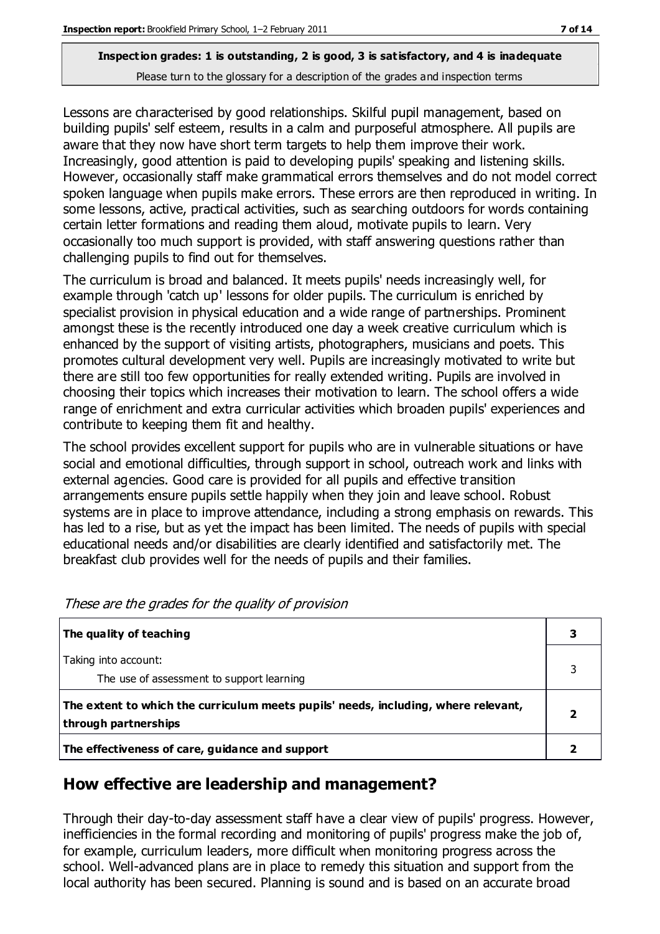Lessons are characterised by good relationships. Skilful pupil management, based on building pupils' self esteem, results in a calm and purposeful atmosphere. All pupils are aware that they now have short term targets to help them improve their work. Increasingly, good attention is paid to developing pupils' speaking and listening skills. However, occasionally staff make grammatical errors themselves and do not model correct spoken language when pupils make errors. These errors are then reproduced in writing. In some lessons, active, practical activities, such as searching outdoors for words containing certain letter formations and reading them aloud, motivate pupils to learn. Very occasionally too much support is provided, with staff answering questions rather than challenging pupils to find out for themselves.

The curriculum is broad and balanced. It meets pupils' needs increasingly well, for example through 'catch up' lessons for older pupils. The curriculum is enriched by specialist provision in physical education and a wide range of partnerships. Prominent amongst these is the recently introduced one day a week creative curriculum which is enhanced by the support of visiting artists, photographers, musicians and poets. This promotes cultural development very well. Pupils are increasingly motivated to write but there are still too few opportunities for really extended writing. Pupils are involved in choosing their topics which increases their motivation to learn. The school offers a wide range of enrichment and extra curricular activities which broaden pupils' experiences and contribute to keeping them fit and healthy.

The school provides excellent support for pupils who are in vulnerable situations or have social and emotional difficulties, through support in school, outreach work and links with external agencies. Good care is provided for all pupils and effective transition arrangements ensure pupils settle happily when they join and leave school. Robust systems are in place to improve attendance, including a strong emphasis on rewards. This has led to a rise, but as yet the impact has been limited. The needs of pupils with special educational needs and/or disabilities are clearly identified and satisfactorily met. The breakfast club provides well for the needs of pupils and their families.

| The quality of teaching                                                                                    |   |
|------------------------------------------------------------------------------------------------------------|---|
| Taking into account:<br>The use of assessment to support learning                                          | 3 |
| The extent to which the curriculum meets pupils' needs, including, where relevant,<br>through partnerships |   |
| The effectiveness of care, guidance and support                                                            |   |

# **How effective are leadership and management?**

Through their day-to-day assessment staff have a clear view of pupils' progress. However, inefficiencies in the formal recording and monitoring of pupils' progress make the job of, for example, curriculum leaders, more difficult when monitoring progress across the school. Well-advanced plans are in place to remedy this situation and support from the local authority has been secured. Planning is sound and is based on an accurate broad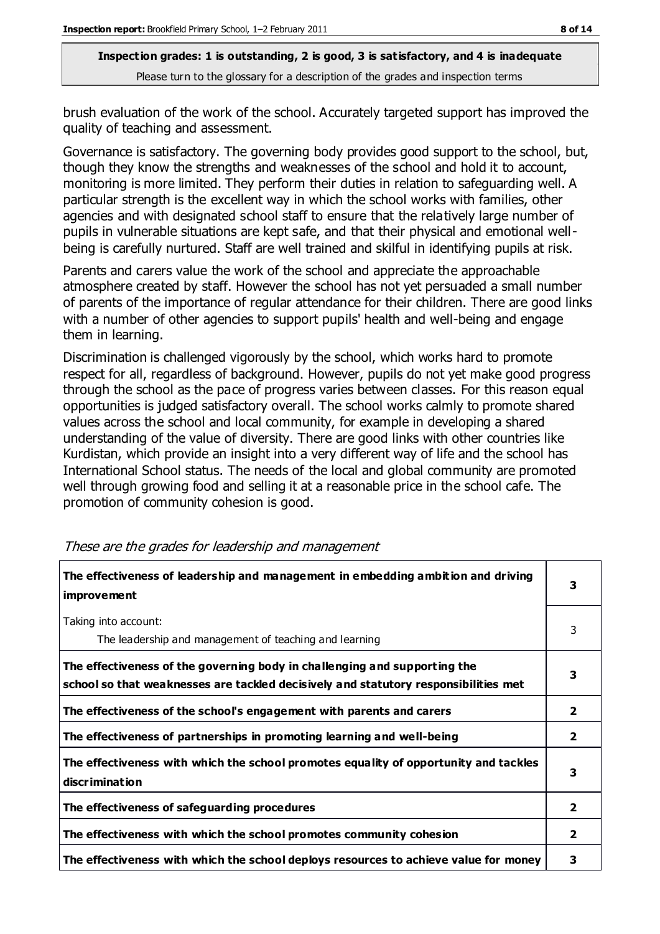brush evaluation of the work of the school. Accurately targeted support has improved the quality of teaching and assessment.

Governance is satisfactory. The governing body provides good support to the school, but, though they know the strengths and weaknesses of the school and hold it to account, monitoring is more limited. They perform their duties in relation to safeguarding well. A particular strength is the excellent way in which the school works with families, other agencies and with designated school staff to ensure that the relatively large number of pupils in vulnerable situations are kept safe, and that their physical and emotional wellbeing is carefully nurtured. Staff are well trained and skilful in identifying pupils at risk.

Parents and carers value the work of the school and appreciate the approachable atmosphere created by staff. However the school has not yet persuaded a small number of parents of the importance of regular attendance for their children. There are good links with a number of other agencies to support pupils' health and well-being and engage them in learning.

Discrimination is challenged vigorously by the school, which works hard to promote respect for all, regardless of background. However, pupils do not yet make good progress through the school as the pace of progress varies between classes. For this reason equal opportunities is judged satisfactory overall. The school works calmly to promote shared values across the school and local community, for example in developing a shared understanding of the value of diversity. There are good links with other countries like Kurdistan, which provide an insight into a very different way of life and the school has International School status. The needs of the local and global community are promoted well through growing food and selling it at a reasonable price in the school cafe. The promotion of community cohesion is good.

| The effectiveness of leadership and management in embedding ambition and driving<br><i>improvement</i>                                                           | 3                       |
|------------------------------------------------------------------------------------------------------------------------------------------------------------------|-------------------------|
| Taking into account:<br>The leadership and management of teaching and learning                                                                                   | 3                       |
| The effectiveness of the governing body in challenging and supporting the<br>school so that weaknesses are tackled decisively and statutory responsibilities met | 3                       |
| The effectiveness of the school's engagement with parents and carers                                                                                             | 2                       |
| The effectiveness of partnerships in promoting learning and well-being                                                                                           | $\mathbf{2}$            |
| The effectiveness with which the school promotes equality of opportunity and tackles<br>discrimination                                                           | 3                       |
| The effectiveness of safeguarding procedures                                                                                                                     | $\overline{2}$          |
| The effectiveness with which the school promotes community cohesion                                                                                              | $\overline{\mathbf{2}}$ |
| The effectiveness with which the school deploys resources to achieve value for money                                                                             | 3                       |

These are the grades for leadership and management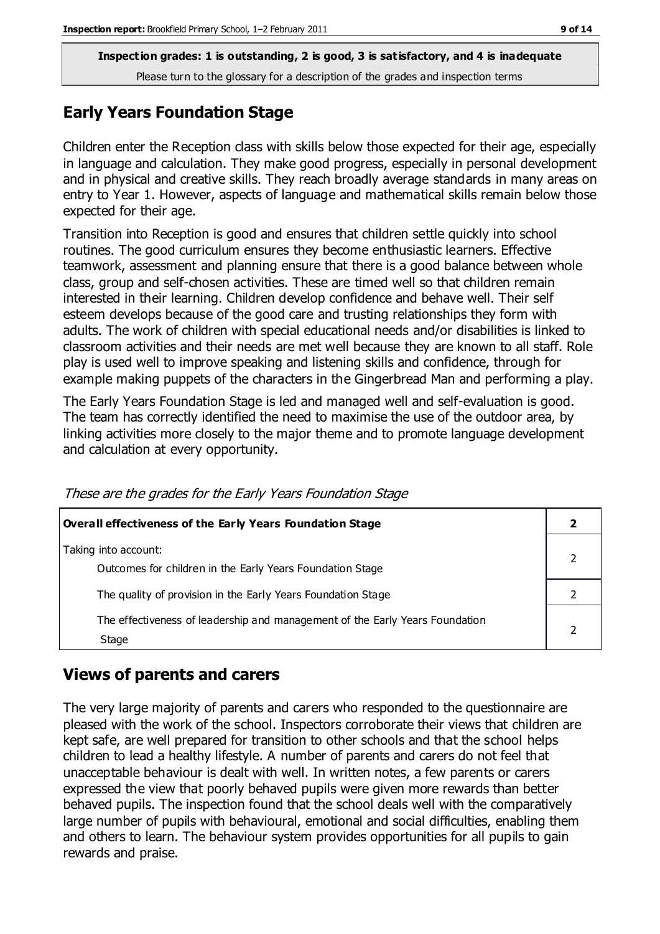# **Early Years Foundation Stage**

Children enter the Reception class with skills below those expected for their age, especially in language and calculation. They make good progress, especially in personal development and in physical and creative skills. They reach broadly average standards in many areas on entry to Year 1. However, aspects of language and mathematical skills remain below those expected for their age.

Transition into Reception is good and ensures that children settle quickly into school routines. The good curriculum ensures they become enthusiastic learners. Effective teamwork, assessment and planning ensure that there is a good balance between whole class, group and self-chosen activities. These are timed well so that children remain interested in their learning. Children develop confidence and behave well. Their self esteem develops because of the good care and trusting relationships they form with adults. The work of children with special educational needs and/or disabilities is linked to classroom activities and their needs are met well because they are known to all staff. Role play is used well to improve speaking and listening skills and confidence, through for example making puppets of the characters in the Gingerbread Man and performing a play.

The Early Years Foundation Stage is led and managed well and self-evaluation is good. The team has correctly identified the need to maximise the use of the outdoor area, by linking activities more closely to the major theme and to promote language development and calculation at every opportunity.

| <b>Overall effectiveness of the Early Years Foundation Stage</b>                      |  |
|---------------------------------------------------------------------------------------|--|
| Taking into account:<br>Outcomes for children in the Early Years Foundation Stage     |  |
| The quality of provision in the Early Years Foundation Stage                          |  |
| The effectiveness of leadership and management of the Early Years Foundation<br>Stage |  |

These are the grades for the Early Years Foundation Stage

# **Views of parents and carers**

The very large majority of parents and carers who responded to the questionnaire are pleased with the work of the school. Inspectors corroborate their views that children are kept safe, are well prepared for transition to other schools and that the school helps children to lead a healthy lifestyle. A number of parents and carers do not feel that unacceptable behaviour is dealt with well. In written notes, a few parents or carers expressed the view that poorly behaved pupils were given more rewards than better behaved pupils. The inspection found that the school deals well with the comparatively large number of pupils with behavioural, emotional and social difficulties, enabling them and others to learn. The behaviour system provides opportunities for all pupils to gain rewards and praise.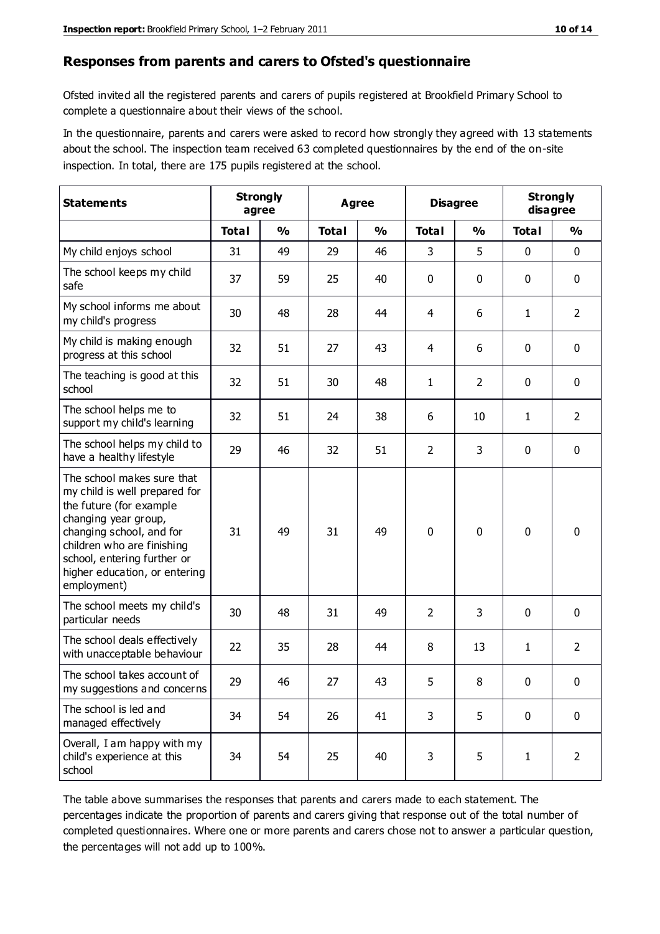#### **Responses from parents and carers to Ofsted's questionnaire**

Ofsted invited all the registered parents and carers of pupils registered at Brookfield Primary School to complete a questionnaire about their views of the school.

In the questionnaire, parents and carers were asked to record how strongly they agreed with 13 statements about the school. The inspection team received 63 completed questionnaires by the end of the on-site inspection. In total, there are 175 pupils registered at the school.

| <b>Statements</b>                                                                                                                                                                                                                                       |              | <b>Strongly</b><br><b>Agree</b><br>agree |              | <b>Disagree</b> |                | <b>Strongly</b><br>disagree |              |                |
|---------------------------------------------------------------------------------------------------------------------------------------------------------------------------------------------------------------------------------------------------------|--------------|------------------------------------------|--------------|-----------------|----------------|-----------------------------|--------------|----------------|
|                                                                                                                                                                                                                                                         | <b>Total</b> | $\frac{0}{0}$                            | <b>Total</b> | $\frac{0}{0}$   | <b>Total</b>   | $\frac{1}{2}$               | <b>Total</b> | $\frac{0}{0}$  |
| My child enjoys school                                                                                                                                                                                                                                  | 31           | 49                                       | 29           | 46              | 3              | 5                           | 0            | $\mathbf 0$    |
| The school keeps my child<br>safe                                                                                                                                                                                                                       | 37           | 59                                       | 25           | 40              | 0              | 0                           | 0            | $\pmb{0}$      |
| My school informs me about<br>my child's progress                                                                                                                                                                                                       | 30           | 48                                       | 28           | 44              | 4              | 6                           | $\mathbf{1}$ | $\overline{2}$ |
| My child is making enough<br>progress at this school                                                                                                                                                                                                    | 32           | 51                                       | 27           | 43              | 4              | 6                           | 0            | $\mathbf 0$    |
| The teaching is good at this<br>school                                                                                                                                                                                                                  | 32           | 51                                       | 30           | 48              | $\mathbf{1}$   | $\overline{2}$              | 0            | $\mathbf 0$    |
| The school helps me to<br>support my child's learning                                                                                                                                                                                                   | 32           | 51                                       | 24           | 38              | 6              | 10                          | 1            | $\overline{2}$ |
| The school helps my child to<br>have a healthy lifestyle                                                                                                                                                                                                | 29           | 46                                       | 32           | 51              | $\overline{2}$ | 3                           | 0            | $\mathbf 0$    |
| The school makes sure that<br>my child is well prepared for<br>the future (for example<br>changing year group,<br>changing school, and for<br>children who are finishing<br>school, entering further or<br>higher education, or entering<br>employment) | 31           | 49                                       | 31           | 49              | $\mathbf 0$    | $\mathbf{0}$                | $\mathbf 0$  | $\mathbf 0$    |
| The school meets my child's<br>particular needs                                                                                                                                                                                                         | 30           | 48                                       | 31           | 49              | $\overline{2}$ | 3                           | $\mathbf{0}$ | $\mathbf 0$    |
| The school deals effectively<br>with unacceptable behaviour                                                                                                                                                                                             | 22           | 35                                       | 28           | 44              | 8              | 13                          | 1            | $\overline{2}$ |
| The school takes account of<br>my suggestions and concerns                                                                                                                                                                                              | 29           | 46                                       | 27           | 43              | 5              | 8                           | 0            | 0              |
| The school is led and<br>managed effectively                                                                                                                                                                                                            | 34           | 54                                       | 26           | 41              | 3              | 5                           | $\mathbf 0$  | $\mathbf 0$    |
| Overall, I am happy with my<br>child's experience at this<br>school                                                                                                                                                                                     | 34           | 54                                       | 25           | 40              | 3              | 5                           | $\mathbf{1}$ | $\overline{2}$ |

The table above summarises the responses that parents and carers made to each statement. The percentages indicate the proportion of parents and carers giving that response out of the total number of completed questionnaires. Where one or more parents and carers chose not to answer a particular question, the percentages will not add up to 100%.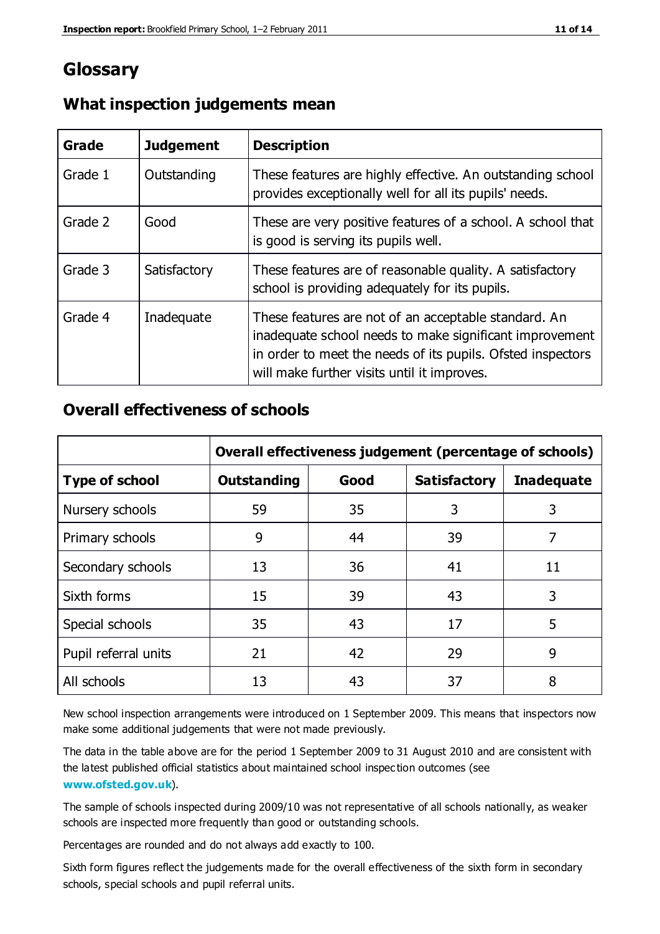# **Glossary**

| Grade   | <b>Judgement</b> | <b>Description</b>                                                                                                                                                                                                            |
|---------|------------------|-------------------------------------------------------------------------------------------------------------------------------------------------------------------------------------------------------------------------------|
| Grade 1 | Outstanding      | These features are highly effective. An outstanding school<br>provides exceptionally well for all its pupils' needs.                                                                                                          |
| Grade 2 | Good             | These are very positive features of a school. A school that<br>is good is serving its pupils well.                                                                                                                            |
| Grade 3 | Satisfactory     | These features are of reasonable quality. A satisfactory<br>school is providing adequately for its pupils.                                                                                                                    |
| Grade 4 | Inadequate       | These features are not of an acceptable standard. An<br>inadequate school needs to make significant improvement<br>in order to meet the needs of its pupils. Ofsted inspectors<br>will make further visits until it improves. |

#### **What inspection judgements mean**

### **Overall effectiveness of schools**

|                       | Overall effectiveness judgement (percentage of schools) |      |                     |                   |
|-----------------------|---------------------------------------------------------|------|---------------------|-------------------|
| <b>Type of school</b> | <b>Outstanding</b>                                      | Good | <b>Satisfactory</b> | <b>Inadequate</b> |
| Nursery schools       | 59                                                      | 35   | 3                   | 3                 |
| Primary schools       | 9                                                       | 44   | 39                  | 7                 |
| Secondary schools     | 13                                                      | 36   | 41                  | 11                |
| Sixth forms           | 15                                                      | 39   | 43                  | 3                 |
| Special schools       | 35                                                      | 43   | 17                  | 5                 |
| Pupil referral units  | 21                                                      | 42   | 29                  | 9                 |
| All schools           | 13                                                      | 43   | 37                  | 8                 |

New school inspection arrangements were introduced on 1 September 2009. This means that inspectors now make some additional judgements that were not made previously.

The data in the table above are for the period 1 September 2009 to 31 August 2010 and are consistent with the latest published official statistics about maintained school inspec tion outcomes (see **[www.ofsted.gov.uk](http://www.ofsted.gov.uk/)**).

The sample of schools inspected during 2009/10 was not representative of all schools nationally, as weaker schools are inspected more frequently than good or outstanding schools.

Percentages are rounded and do not always add exactly to 100.

Sixth form figures reflect the judgements made for the overall effectiveness of the sixth form in secondary schools, special schools and pupil referral units.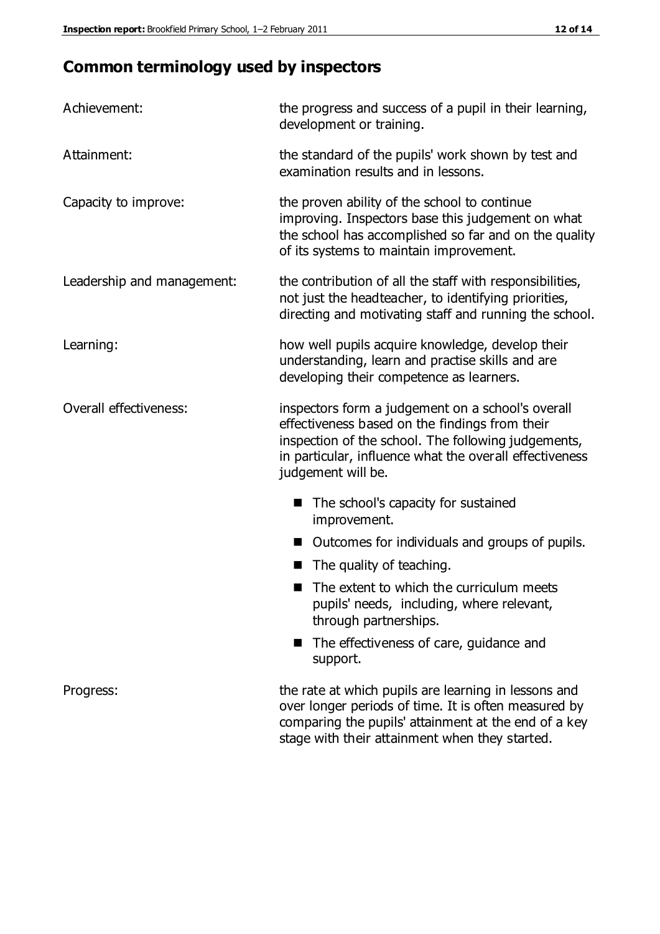# **Common terminology used by inspectors**

| Achievement:               | the progress and success of a pupil in their learning,<br>development or training.                                                                                                                                                          |  |  |
|----------------------------|---------------------------------------------------------------------------------------------------------------------------------------------------------------------------------------------------------------------------------------------|--|--|
| Attainment:                | the standard of the pupils' work shown by test and<br>examination results and in lessons.                                                                                                                                                   |  |  |
| Capacity to improve:       | the proven ability of the school to continue<br>improving. Inspectors base this judgement on what<br>the school has accomplished so far and on the quality<br>of its systems to maintain improvement.                                       |  |  |
| Leadership and management: | the contribution of all the staff with responsibilities,<br>not just the headteacher, to identifying priorities,<br>directing and motivating staff and running the school.                                                                  |  |  |
| Learning:                  | how well pupils acquire knowledge, develop their<br>understanding, learn and practise skills and are<br>developing their competence as learners.                                                                                            |  |  |
| Overall effectiveness:     | inspectors form a judgement on a school's overall<br>effectiveness based on the findings from their<br>inspection of the school. The following judgements,<br>in particular, influence what the overall effectiveness<br>judgement will be. |  |  |
|                            | The school's capacity for sustained<br>improvement.                                                                                                                                                                                         |  |  |
|                            | Outcomes for individuals and groups of pupils.                                                                                                                                                                                              |  |  |
|                            | The quality of teaching.                                                                                                                                                                                                                    |  |  |
|                            | The extent to which the curriculum meets<br>pupils' needs, including, where relevant,<br>through partnerships.                                                                                                                              |  |  |
|                            | The effectiveness of care, guidance and<br>support.                                                                                                                                                                                         |  |  |
| Progress:                  | the rate at which pupils are learning in lessons and<br>over longer periods of time. It is often measured by<br>comparing the pupils' attainment at the end of a key                                                                        |  |  |

stage with their attainment when they started.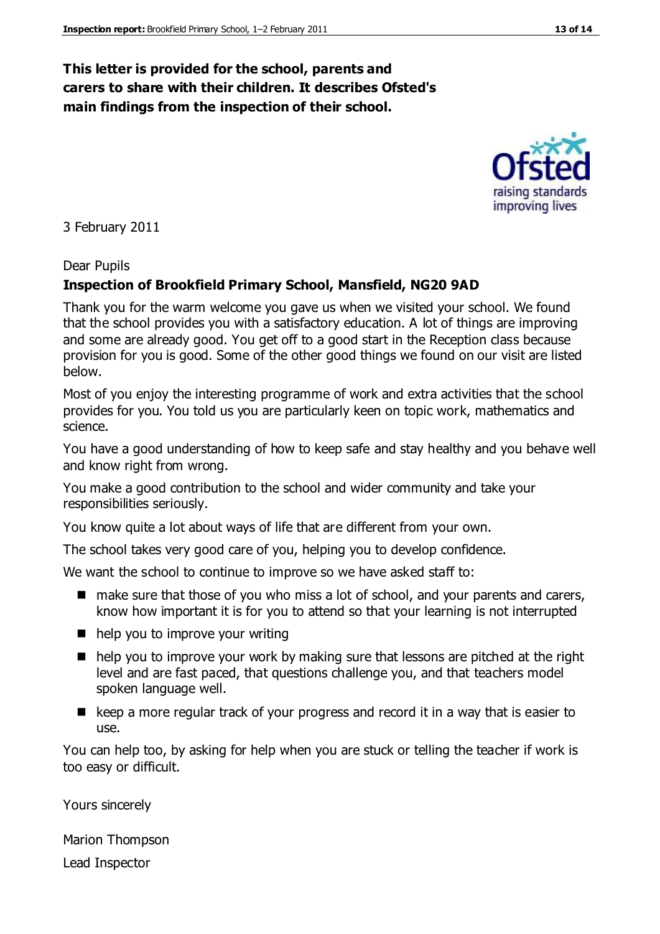### **This letter is provided for the school, parents and carers to share with their children. It describes Ofsted's main findings from the inspection of their school.**

3 February 2011

#### Dear Pupils

#### **Inspection of Brookfield Primary School, Mansfield, NG20 9AD**

Thank you for the warm welcome you gave us when we visited your school. We found that the school provides you with a satisfactory education. A lot of things are improving and some are already good. You get off to a good start in the Reception class because provision for you is good. Some of the other good things we found on our visit are listed below.

Most of you enjoy the interesting programme of work and extra activities that the school provides for you. You told us you are particularly keen on topic work, mathematics and science.

You have a good understanding of how to keep safe and stay healthy and you behave well and know right from wrong.

You make a good contribution to the school and wider community and take your responsibilities seriously.

You know quite a lot about ways of life that are different from your own.

The school takes very good care of you, helping you to develop confidence.

We want the school to continue to improve so we have asked staff to:

- make sure that those of you who miss a lot of school, and your parents and carers, know how important it is for you to attend so that your learning is not interrupted
- $\blacksquare$  help you to improve your writing
- help you to improve your work by making sure that lessons are pitched at the right level and are fast paced, that questions challenge you, and that teachers model spoken language well.
- E keep a more regular track of your progress and record it in a way that is easier to use.

You can help too, by asking for help when you are stuck or telling the teacher if work is too easy or difficult.

Yours sincerely

Marion Thompson Lead Inspector